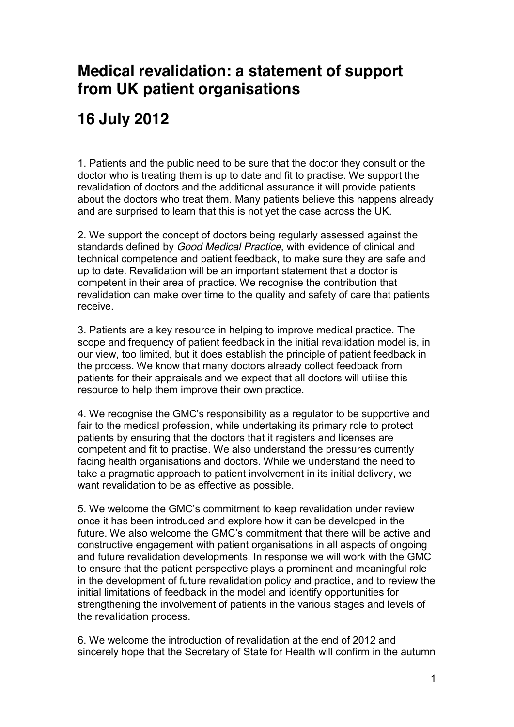## **Medical revalidation: a statement of support from UK patient organisations**

## **16 July 2012**

1. Patients and the public need to be sure that the doctor they consult or the doctor who is treating them is up to date and fit to practise. We support the revalidation of doctors and the additional assurance it will provide patients about the doctors who treat them. Many patients believe this happens already and are surprised to learn that this is not yet the case across the UK.

2. We support the concept of doctors being regularly assessed against the standards defined by *Good Medical Practice*, with evidence of clinical and technical competence and patient feedback, to make sure they are safe and up to date. Revalidation will be an important statement that a doctor is competent in their area of practice. We recognise the contribution that revalidation can make over time to the quality and safety of care that patients receive.

3. Patients are a key resource in helping to improve medical practice. The scope and frequency of patient feedback in the initial revalidation model is, in our view, too limited, but it does establish the principle of patient feedback in the process. We know that many doctors already collect feedback from patients for their appraisals and we expect that all doctors will utilise this resource to help them improve their own practice.

4. We recognise the GMC's responsibility as a regulator to be supportive and fair to the medical profession, while undertaking its primary role to protect patients by ensuring that the doctors that it registers and licenses are competent and fit to practise. We also understand the pressures currently facing health organisations and doctors. While we understand the need to take a pragmatic approach to patient involvement in its initial delivery, we want revalidation to be as effective as possible.

5. We welcome the GMC's commitment to keep revalidation under review once it has been introduced and explore how it can be developed in the future. We also welcome the GMC's commitment that there will be active and constructive engagement with patient organisations in all aspects of ongoing and future revalidation developments. In response we will work with the GMC to ensure that the patient perspective plays a prominent and meaningful role in the development of future revalidation policy and practice, and to review the initial limitations of feedback in the model and identify opportunities for strengthening the involvement of patients in the various stages and levels of the revalidation process.

6. We welcome the introduction of revalidation at the end of 2012 and sincerely hope that the Secretary of State for Health will confirm in the autumn